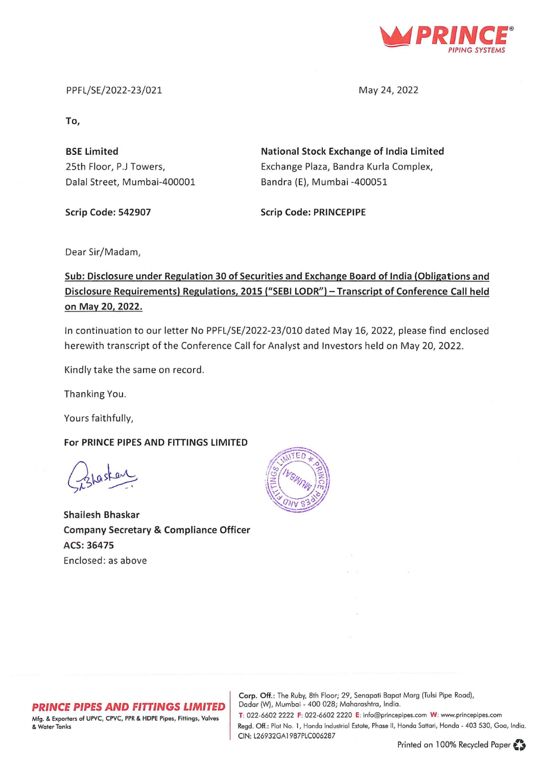

PPFL/SE/2022-23/021

May 24, 2022

**To,** 

**BSE Limited**  25th Floor, P.J Towers, Dalal Street, Mumbai-400001 **National Stock Exchange of India Limited**  Exchange Plaza, Sandra Kurla Complex, Sandra (E), Mumbai -400051

**Scrip Code: 542907** 

**Scrip Code: PRINCEPIPE** 

Dear Sir/Madam,

## **Sub: Disclosure under Regulation 30 of Securities and Exchange Board of India (Obligations and Disclosure Requirements) Regulations, 2015 ("SEBI LODR") -Transcript of Conference Call held on May 20, 2022.**

In continuation to our letter No PPFL/SE/2022-23/010 dated May 16, 2022, please find enclosed herewith transcript of the Conference Call for Analyst and Investors held on May 20, 2022.

Kindly take the same on record.

Thanking You.

Yours faithfully,

**For PRINCE PIPES AND FITTINGS LIMITED** 

**Shailesh Bhaskar Company Secretary & Compliance Officer ACS: 36475**  Enclosed: as above



#### **PRINCE PIPES AND FITTINGS LIMITED**

Mfg. & Exporters of UPYC, CPVC, PPR & HDPE Pipes, Fittings, Valves & Water Tonks

Corp. Off.: The Ruby, 8th Floor; 29, Senapoti Bopot Marg (Tulsi Pipe Rood), Dadar (W), Mumbai - 400 028; Maharashtra, India.

T: 022-6602 2222 F: 022-6602 2220 E: info@princepipes.com W: www.princepipes.com Regd. Off.: Plot No. 1, Hondo Industrial Estate, Phase II, Honda Sattari, Hondo - 403 530, Goa, Indio. CIN: L26932GA1987PLC006287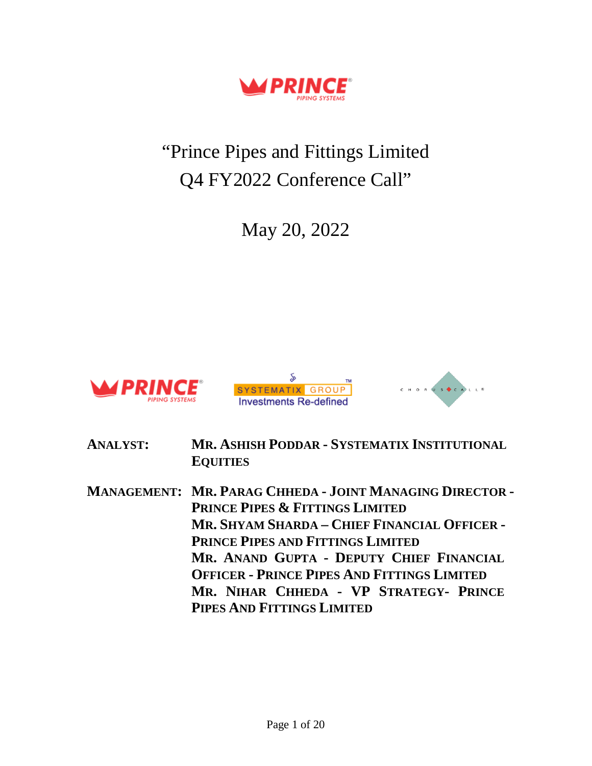

# "Prince Pipes and Fittings Limited Q4 FY2022 Conference Call"

May 20, 2022







- **ANALYST: MR. ASHISH PODDAR - SYSTEMATIX INSTITUTIONAL EQUITIES**
- **MANAGEMENT: MR. PARAG CHHEDA - JOINT MANAGING DIRECTOR - PRINCE PIPES & FITTINGS LIMITED MR. SHYAM SHARDA – CHIEF FINANCIAL OFFICER - PRINCE PIPES AND FITTINGS LIMITED MR. ANAND GUPTA - DEPUTY CHIEF FINANCIAL OFFICER - PRINCE PIPES AND FITTINGS LIMITED MR. NIHAR CHHEDA - VP STRATEGY- PRINCE PIPES AND FITTINGS LIMITED**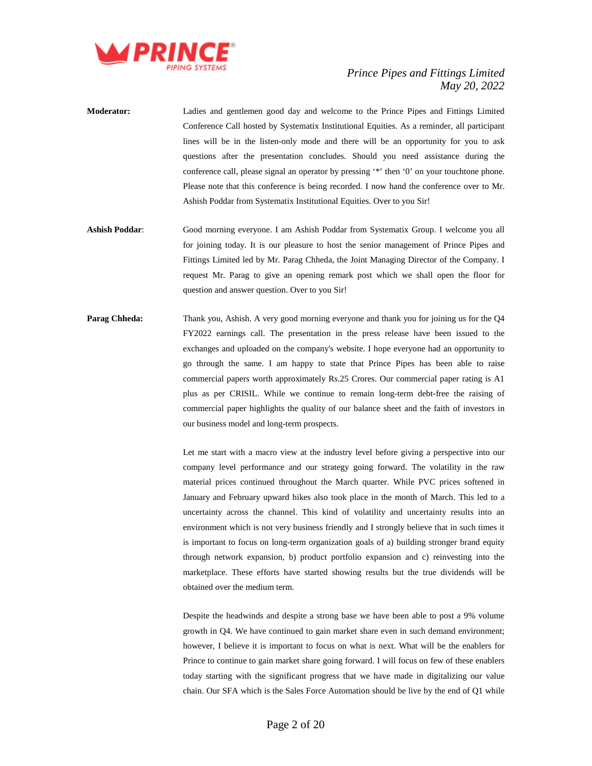

- **Moderator:** Ladies and gentlemen good day and welcome to the Prince Pipes and Fittings Limited Conference Call hosted by Systematix Institutional Equities. As a reminder, all participant lines will be in the listen-only mode and there will be an opportunity for you to ask questions after the presentation concludes. Should you need assistance during the conference call, please signal an operator by pressing '\*' then '0' on your touchtone phone. Please note that this conference is being recorded. I now hand the conference over to Mr. Ashish Poddar from Systematix Institutional Equities. Over to you Sir!
- **Ashish Poddar**: Good morning everyone. I am Ashish Poddar from Systematix Group. I welcome you all for joining today. It is our pleasure to host the senior management of Prince Pipes and Fittings Limited led by Mr. Parag Chheda, the Joint Managing Director of the Company. I request Mr. Parag to give an opening remark post which we shall open the floor for question and answer question. Over to you Sir!
- **Parag Chheda:** Thank you, Ashish. A very good morning everyone and thank you for joining us for the Q4 FY2022 earnings call. The presentation in the press release have been issued to the exchanges and uploaded on the company's website. I hope everyone had an opportunity to go through the same. I am happy to state that Prince Pipes has been able to raise commercial papers worth approximately Rs.25 Crores. Our commercial paper rating is A1 plus as per CRISIL. While we continue to remain long-term debt-free the raising of commercial paper highlights the quality of our balance sheet and the faith of investors in our business model and long-term prospects.

Let me start with a macro view at the industry level before giving a perspective into our company level performance and our strategy going forward. The volatility in the raw material prices continued throughout the March quarter. While PVC prices softened in January and February upward hikes also took place in the month of March. This led to a uncertainty across the channel. This kind of volatility and uncertainty results into an environment which is not very business friendly and I strongly believe that in such times it is important to focus on long-term organization goals of a) building stronger brand equity through network expansion, b) product portfolio expansion and c) reinvesting into the marketplace. These efforts have started showing results but the true dividends will be obtained over the medium term.

Despite the headwinds and despite a strong base we have been able to post a 9% volume growth in Q4. We have continued to gain market share even in such demand environment; however, I believe it is important to focus on what is next. What will be the enablers for Prince to continue to gain market share going forward. I will focus on few of these enablers today starting with the significant progress that we have made in digitalizing our value chain. Our SFA which is the Sales Force Automation should be live by the end of Q1 while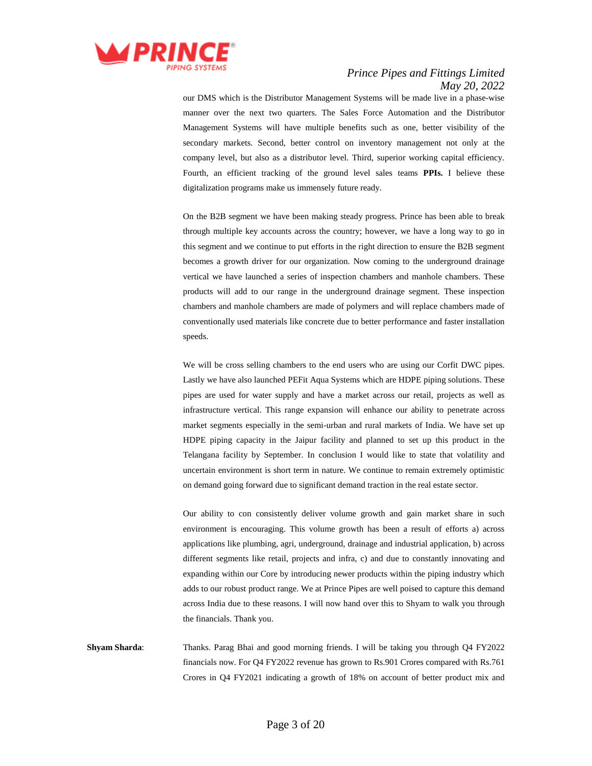

our DMS which is the Distributor Management Systems will be made live in a phase-wise manner over the next two quarters. The Sales Force Automation and the Distributor Management Systems will have multiple benefits such as one, better visibility of the secondary markets. Second, better control on inventory management not only at the company level, but also as a distributor level. Third, superior working capital efficiency. Fourth, an efficient tracking of the ground level sales teams **PPIs.** I believe these digitalization programs make us immensely future ready.

On the B2B segment we have been making steady progress. Prince has been able to break through multiple key accounts across the country; however, we have a long way to go in this segment and we continue to put efforts in the right direction to ensure the B2B segment becomes a growth driver for our organization. Now coming to the underground drainage vertical we have launched a series of inspection chambers and manhole chambers. These products will add to our range in the underground drainage segment. These inspection chambers and manhole chambers are made of polymers and will replace chambers made of conventionally used materials like concrete due to better performance and faster installation speeds.

We will be cross selling chambers to the end users who are using our Corfit DWC pipes. Lastly we have also launched PEFit Aqua Systems which are HDPE piping solutions. These pipes are used for water supply and have a market across our retail, projects as well as infrastructure vertical. This range expansion will enhance our ability to penetrate across market segments especially in the semi-urban and rural markets of India. We have set up HDPE piping capacity in the Jaipur facility and planned to set up this product in the Telangana facility by September. In conclusion I would like to state that volatility and uncertain environment is short term in nature. We continue to remain extremely optimistic on demand going forward due to significant demand traction in the real estate sector.

Our ability to con consistently deliver volume growth and gain market share in such environment is encouraging. This volume growth has been a result of efforts a) across applications like plumbing, agri, underground, drainage and industrial application, b) across different segments like retail, projects and infra, c) and due to constantly innovating and expanding within our Core by introducing newer products within the piping industry which adds to our robust product range. We at Prince Pipes are well poised to capture this demand across India due to these reasons. I will now hand over this to Shyam to walk you through the financials. Thank you.

**Shyam Sharda**: Thanks. Parag Bhai and good morning friends. I will be taking you through Q4 FY2022 financials now. For Q4 FY2022 revenue has grown to Rs.901 Crores compared with Rs.761 Crores in Q4 FY2021 indicating a growth of 18% on account of better product mix and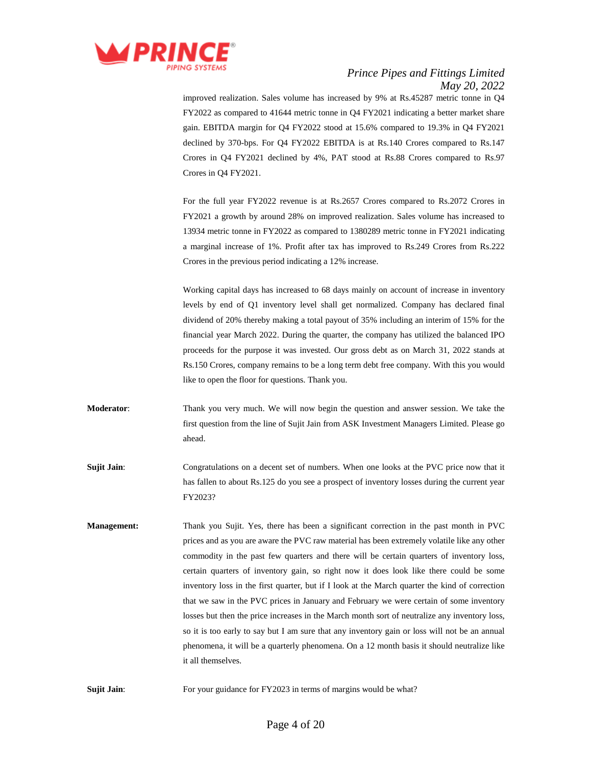

improved realization. Sales volume has increased by 9% at Rs.45287 metric tonne in Q4 FY2022 as compared to 41644 metric tonne in Q4 FY2021 indicating a better market share gain. EBITDA margin for Q4 FY2022 stood at 15.6% compared to 19.3% in Q4 FY2021 declined by 370-bps. For Q4 FY2022 EBITDA is at Rs.140 Crores compared to Rs.147 Crores in Q4 FY2021 declined by 4%, PAT stood at Rs.88 Crores compared to Rs.97 Crores in Q4 FY2021.

For the full year FY2022 revenue is at Rs.2657 Crores compared to Rs.2072 Crores in FY2021 a growth by around 28% on improved realization. Sales volume has increased to 13934 metric tonne in FY2022 as compared to 1380289 metric tonne in FY2021 indicating a marginal increase of 1%. Profit after tax has improved to Rs.249 Crores from Rs.222 Crores in the previous period indicating a 12% increase.

Working capital days has increased to 68 days mainly on account of increase in inventory levels by end of Q1 inventory level shall get normalized. Company has declared final dividend of 20% thereby making a total payout of 35% including an interim of 15% for the financial year March 2022. During the quarter, the company has utilized the balanced IPO proceeds for the purpose it was invested. Our gross debt as on March 31, 2022 stands at Rs.150 Crores, company remains to be a long term debt free company. With this you would like to open the floor for questions. Thank you.

- **Moderator**: Thank you very much. We will now begin the question and answer session. We take the first question from the line of Sujit Jain from ASK Investment Managers Limited. Please go ahead.
- **Sujit Jain**: Congratulations on a decent set of numbers. When one looks at the PVC price now that it has fallen to about Rs.125 do you see a prospect of inventory losses during the current year FY2023?
- **Management:** Thank you Sujit. Yes, there has been a significant correction in the past month in PVC prices and as you are aware the PVC raw material has been extremely volatile like any other commodity in the past few quarters and there will be certain quarters of inventory loss, certain quarters of inventory gain, so right now it does look like there could be some inventory loss in the first quarter, but if I look at the March quarter the kind of correction that we saw in the PVC prices in January and February we were certain of some inventory losses but then the price increases in the March month sort of neutralize any inventory loss, so it is too early to say but I am sure that any inventory gain or loss will not be an annual phenomena, it will be a quarterly phenomena. On a 12 month basis it should neutralize like it all themselves.

**Sujit Jain:** For your guidance for FY2023 in terms of margins would be what?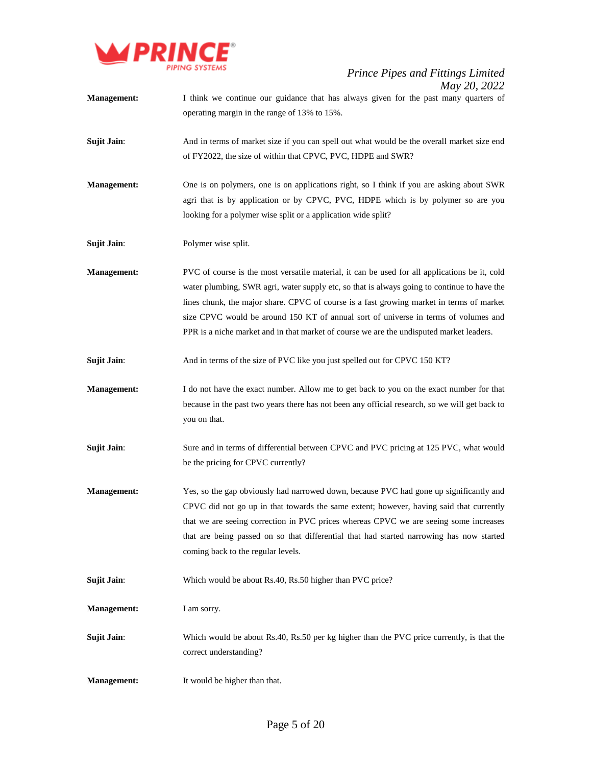

- **Management:** I think we continue our guidance that has always given for the past many quarters of operating margin in the range of 13% to 15%.
- **Sujit Jain:** And in terms of market size if you can spell out what would be the overall market size end of FY2022, the size of within that CPVC, PVC, HDPE and SWR?
- **Management:** One is on polymers, one is on applications right, so I think if you are asking about SWR agri that is by application or by CPVC, PVC, HDPE which is by polymer so are you looking for a polymer wise split or a application wide split?

**Sujit Jain**: Polymer wise split.

- **Management:** PVC of course is the most versatile material, it can be used for all applications be it, cold water plumbing, SWR agri, water supply etc, so that is always going to continue to have the lines chunk, the major share. CPVC of course is a fast growing market in terms of market size CPVC would be around 150 KT of annual sort of universe in terms of volumes and PPR is a niche market and in that market of course we are the undisputed market leaders.
- **Sujit Jain**: And in terms of the size of PVC like you just spelled out for CPVC 150 KT?
- **Management:** I do not have the exact number. Allow me to get back to you on the exact number for that because in the past two years there has not been any official research, so we will get back to you on that.
- **Sujit Jain:** Sure and in terms of differential between CPVC and PVC pricing at 125 PVC, what would be the pricing for CPVC currently?
- **Management:** Yes, so the gap obviously had narrowed down, because PVC had gone up significantly and CPVC did not go up in that towards the same extent; however, having said that currently that we are seeing correction in PVC prices whereas CPVC we are seeing some increases that are being passed on so that differential that had started narrowing has now started coming back to the regular levels.

**Sujit Jain:** Which would be about Rs.40, Rs.50 higher than PVC price?

**Management:** I am sorry.

- **Sujit Jain:** Which would be about Rs.40, Rs.50 per kg higher than the PVC price currently, is that the correct understanding?
- **Management:** It would be higher than that.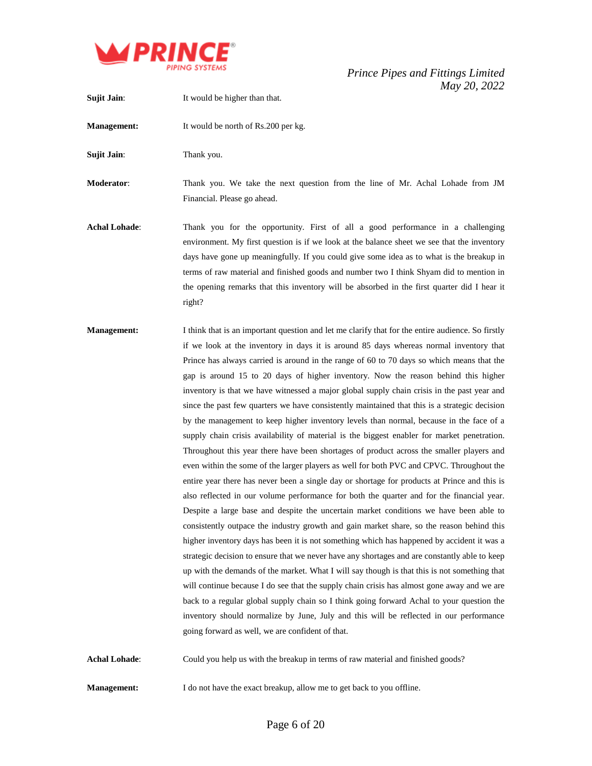

**Sujit Jain:** It would be higher than that. **Management:** It would be north of Rs.200 per kg. **Sujit Jain:** Thank you. **Moderator**: Thank you. We take the next question from the line of Mr. Achal Lohade from JM Financial. Please go ahead. **Achal Lohade**: Thank you for the opportunity. First of all a good performance in a challenging environment. My first question is if we look at the balance sheet we see that the inventory days have gone up meaningfully. If you could give some idea as to what is the breakup in terms of raw material and finished goods and number two I think Shyam did to mention in the opening remarks that this inventory will be absorbed in the first quarter did I hear it right? **Management:** I think that is an important question and let me clarify that for the entire audience. So firstly

if we look at the inventory in days it is around 85 days whereas normal inventory that Prince has always carried is around in the range of 60 to 70 days so which means that the gap is around 15 to 20 days of higher inventory. Now the reason behind this higher inventory is that we have witnessed a major global supply chain crisis in the past year and since the past few quarters we have consistently maintained that this is a strategic decision by the management to keep higher inventory levels than normal, because in the face of a supply chain crisis availability of material is the biggest enabler for market penetration. Throughout this year there have been shortages of product across the smaller players and even within the some of the larger players as well for both PVC and CPVC. Throughout the entire year there has never been a single day or shortage for products at Prince and this is also reflected in our volume performance for both the quarter and for the financial year. Despite a large base and despite the uncertain market conditions we have been able to consistently outpace the industry growth and gain market share, so the reason behind this higher inventory days has been it is not something which has happened by accident it was a strategic decision to ensure that we never have any shortages and are constantly able to keep up with the demands of the market. What I will say though is that this is not something that will continue because I do see that the supply chain crisis has almost gone away and we are back to a regular global supply chain so I think going forward Achal to your question the inventory should normalize by June, July and this will be reflected in our performance going forward as well, we are confident of that.

**Achal Lohade**: Could you help us with the breakup in terms of raw material and finished goods?

**Management:** I do not have the exact breakup, allow me to get back to you offline.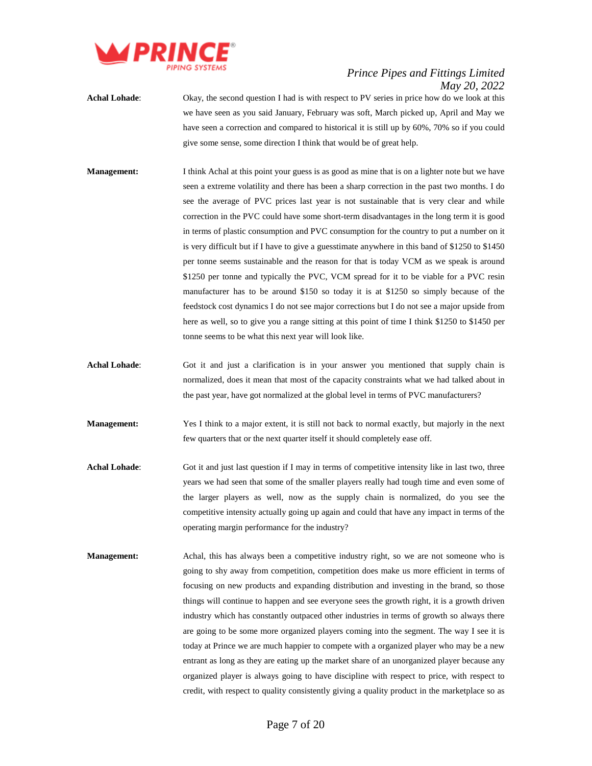

- **Achal Lohade**: Okay, the second question I had is with respect to PV series in price how do we look at this we have seen as you said January, February was soft, March picked up, April and May we have seen a correction and compared to historical it is still up by 60%, 70% so if you could give some sense, some direction I think that would be of great help.
- **Management:** I think Achal at this point your guess is as good as mine that is on a lighter note but we have seen a extreme volatility and there has been a sharp correction in the past two months. I do see the average of PVC prices last year is not sustainable that is very clear and while correction in the PVC could have some short-term disadvantages in the long term it is good in terms of plastic consumption and PVC consumption for the country to put a number on it is very difficult but if I have to give a guesstimate anywhere in this band of \$1250 to \$1450 per tonne seems sustainable and the reason for that is today VCM as we speak is around \$1250 per tonne and typically the PVC, VCM spread for it to be viable for a PVC resin manufacturer has to be around \$150 so today it is at \$1250 so simply because of the feedstock cost dynamics I do not see major corrections but I do not see a major upside from here as well, so to give you a range sitting at this point of time I think \$1250 to \$1450 per tonne seems to be what this next year will look like.
- **Achal Lohade**: Got it and just a clarification is in your answer you mentioned that supply chain is normalized, does it mean that most of the capacity constraints what we had talked about in the past year, have got normalized at the global level in terms of PVC manufacturers?
- **Management:** Yes I think to a major extent, it is still not back to normal exactly, but majorly in the next few quarters that or the next quarter itself it should completely ease off.
- **Achal Lohade:** Got it and just last question if I may in terms of competitive intensity like in last two, three years we had seen that some of the smaller players really had tough time and even some of the larger players as well, now as the supply chain is normalized, do you see the competitive intensity actually going up again and could that have any impact in terms of the operating margin performance for the industry?
- **Management:** Achal, this has always been a competitive industry right, so we are not someone who is going to shy away from competition, competition does make us more efficient in terms of focusing on new products and expanding distribution and investing in the brand, so those things will continue to happen and see everyone sees the growth right, it is a growth driven industry which has constantly outpaced other industries in terms of growth so always there are going to be some more organized players coming into the segment. The way I see it is today at Prince we are much happier to compete with a organized player who may be a new entrant as long as they are eating up the market share of an unorganized player because any organized player is always going to have discipline with respect to price, with respect to credit, with respect to quality consistently giving a quality product in the marketplace so as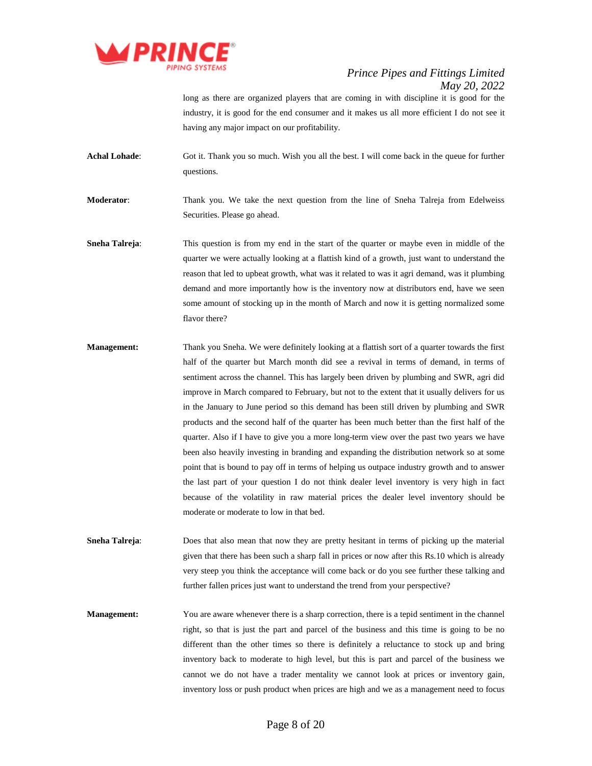

long as there are organized players that are coming in with discipline it is good for the industry, it is good for the end consumer and it makes us all more efficient I do not see it having any major impact on our profitability.

**Achal Lohade**: Got it. Thank you so much. Wish you all the best. I will come back in the queue for further questions.

**Moderator**: Thank you. We take the next question from the line of Sneha Talreja from Edelweiss Securities. Please go ahead.

**Sneha Talreja:** This question is from my end in the start of the quarter or maybe even in middle of the quarter we were actually looking at a flattish kind of a growth, just want to understand the reason that led to upbeat growth, what was it related to was it agri demand, was it plumbing demand and more importantly how is the inventory now at distributors end, have we seen some amount of stocking up in the month of March and now it is getting normalized some flavor there?

**Management:** Thank you Sneha. We were definitely looking at a flattish sort of a quarter towards the first half of the quarter but March month did see a revival in terms of demand, in terms of sentiment across the channel. This has largely been driven by plumbing and SWR, agri did improve in March compared to February, but not to the extent that it usually delivers for us in the January to June period so this demand has been still driven by plumbing and SWR products and the second half of the quarter has been much better than the first half of the quarter. Also if I have to give you a more long-term view over the past two years we have been also heavily investing in branding and expanding the distribution network so at some point that is bound to pay off in terms of helping us outpace industry growth and to answer the last part of your question I do not think dealer level inventory is very high in fact because of the volatility in raw material prices the dealer level inventory should be moderate or moderate to low in that bed.

**Sneha Talreja:** Does that also mean that now they are pretty hesitant in terms of picking up the material given that there has been such a sharp fall in prices or now after this Rs.10 which is already very steep you think the acceptance will come back or do you see further these talking and further fallen prices just want to understand the trend from your perspective?

**Management:** You are aware whenever there is a sharp correction, there is a tepid sentiment in the channel right, so that is just the part and parcel of the business and this time is going to be no different than the other times so there is definitely a reluctance to stock up and bring inventory back to moderate to high level, but this is part and parcel of the business we cannot we do not have a trader mentality we cannot look at prices or inventory gain, inventory loss or push product when prices are high and we as a management need to focus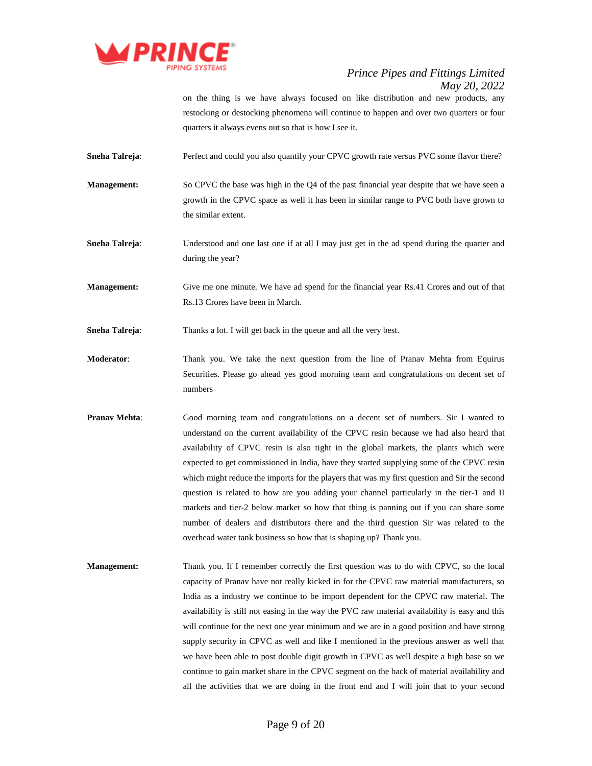

on the thing is we have always focused on like distribution and new products, any restocking or destocking phenomena will continue to happen and over two quarters or four quarters it always evens out so that is how I see it.

**Sneha Talreja**: Perfect and could you also quantify your CPVC growth rate versus PVC some flavor there?

**Management:** So CPVC the base was high in the Q4 of the past financial year despite that we have seen a growth in the CPVC space as well it has been in similar range to PVC both have grown to the similar extent.

**Sneha Talreja**: Understood and one last one if at all I may just get in the ad spend during the quarter and during the year?

**Management:** Give me one minute. We have ad spend for the financial year Rs.41 Crores and out of that Rs.13 Crores have been in March.

**Sneha Talreja:** Thanks a lot. I will get back in the queue and all the very best.

- **Moderator**: Thank you. We take the next question from the line of Pranav Mehta from Equirus Securities. Please go ahead yes good morning team and congratulations on decent set of numbers
- **Pranav Mehta:** Good morning team and congratulations on a decent set of numbers. Sir I wanted to understand on the current availability of the CPVC resin because we had also heard that availability of CPVC resin is also tight in the global markets, the plants which were expected to get commissioned in India, have they started supplying some of the CPVC resin which might reduce the imports for the players that was my first question and Sir the second question is related to how are you adding your channel particularly in the tier-1 and II markets and tier-2 below market so how that thing is panning out if you can share some number of dealers and distributors there and the third question Sir was related to the overhead water tank business so how that is shaping up? Thank you.
- **Management:** Thank you. If I remember correctly the first question was to do with CPVC, so the local capacity of Pranav have not really kicked in for the CPVC raw material manufacturers, so India as a industry we continue to be import dependent for the CPVC raw material. The availability is still not easing in the way the PVC raw material availability is easy and this will continue for the next one year minimum and we are in a good position and have strong supply security in CPVC as well and like I mentioned in the previous answer as well that we have been able to post double digit growth in CPVC as well despite a high base so we continue to gain market share in the CPVC segment on the back of material availability and all the activities that we are doing in the front end and I will join that to your second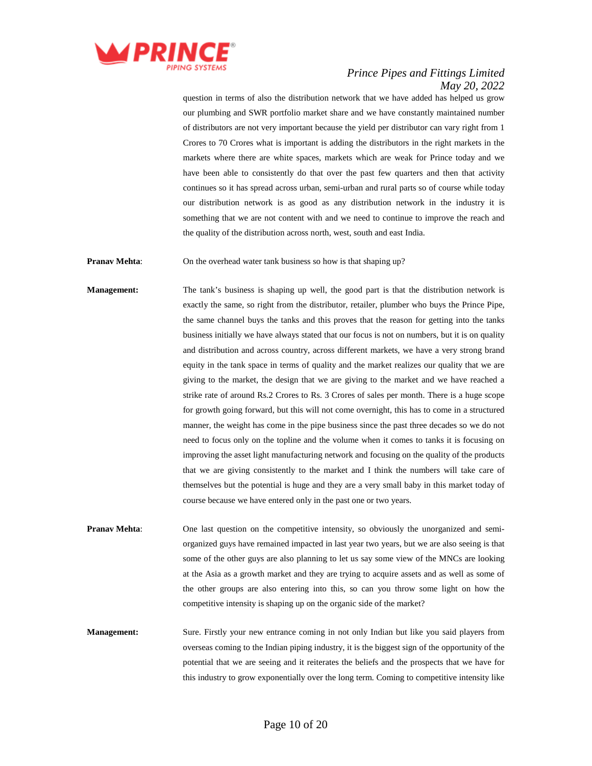

question in terms of also the distribution network that we have added has helped us grow our plumbing and SWR portfolio market share and we have constantly maintained number of distributors are not very important because the yield per distributor can vary right from 1 Crores to 70 Crores what is important is adding the distributors in the right markets in the markets where there are white spaces, markets which are weak for Prince today and we have been able to consistently do that over the past few quarters and then that activity continues so it has spread across urban, semi-urban and rural parts so of course while today our distribution network is as good as any distribution network in the industry it is something that we are not content with and we need to continue to improve the reach and the quality of the distribution across north, west, south and east India.

**Pranav Mehta:** On the overhead water tank business so how is that shaping up?

**Management:** The tank's business is shaping up well, the good part is that the distribution network is exactly the same, so right from the distributor, retailer, plumber who buys the Prince Pipe, the same channel buys the tanks and this proves that the reason for getting into the tanks business initially we have always stated that our focus is not on numbers, but it is on quality and distribution and across country, across different markets, we have a very strong brand equity in the tank space in terms of quality and the market realizes our quality that we are giving to the market, the design that we are giving to the market and we have reached a strike rate of around Rs.2 Crores to Rs. 3 Crores of sales per month. There is a huge scope for growth going forward, but this will not come overnight, this has to come in a structured manner, the weight has come in the pipe business since the past three decades so we do not need to focus only on the topline and the volume when it comes to tanks it is focusing on improving the asset light manufacturing network and focusing on the quality of the products that we are giving consistently to the market and I think the numbers will take care of themselves but the potential is huge and they are a very small baby in this market today of course because we have entered only in the past one or two years.

**Pranav Mehta:** One last question on the competitive intensity, so obviously the unorganized and semiorganized guys have remained impacted in last year two years, but we are also seeing is that some of the other guys are also planning to let us say some view of the MNCs are looking at the Asia as a growth market and they are trying to acquire assets and as well as some of the other groups are also entering into this, so can you throw some light on how the competitive intensity is shaping up on the organic side of the market?

**Management:** Sure. Firstly your new entrance coming in not only Indian but like you said players from overseas coming to the Indian piping industry, it is the biggest sign of the opportunity of the potential that we are seeing and it reiterates the beliefs and the prospects that we have for this industry to grow exponentially over the long term. Coming to competitive intensity like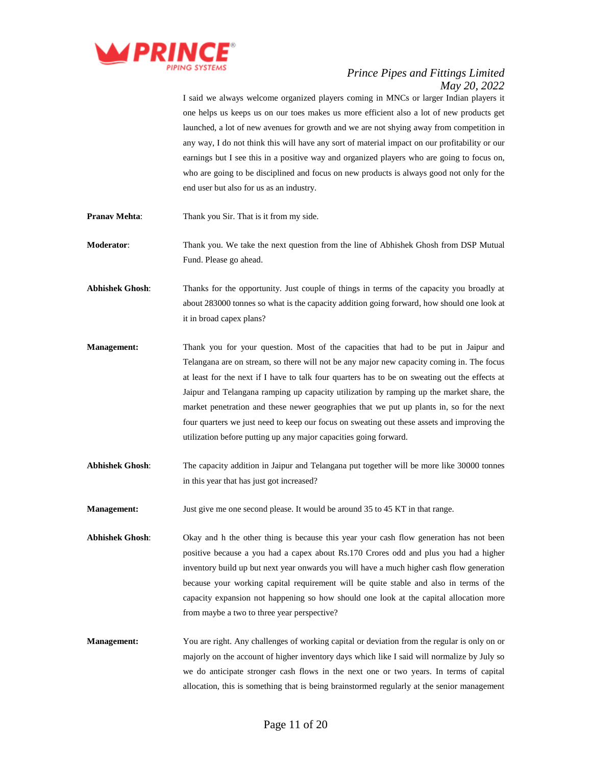

I said we always welcome organized players coming in MNCs or larger Indian players it one helps us keeps us on our toes makes us more efficient also a lot of new products get launched, a lot of new avenues for growth and we are not shying away from competition in any way, I do not think this will have any sort of material impact on our profitability or our earnings but I see this in a positive way and organized players who are going to focus on, who are going to be disciplined and focus on new products is always good not only for the end user but also for us as an industry. **Pranav Mehta:** Thank you Sir. That is it from my side. **Moderator**: Thank you. We take the next question from the line of Abhishek Ghosh from DSP Mutual Fund. Please go ahead. **Abhishek Ghosh**: Thanks for the opportunity. Just couple of things in terms of the capacity you broadly at about 283000 tonnes so what is the capacity addition going forward, how should one look at it in broad capex plans? **Management:** Thank you for your question. Most of the capacities that had to be put in Jaipur and Telangana are on stream, so there will not be any major new capacity coming in. The focus at least for the next if I have to talk four quarters has to be on sweating out the effects at Jaipur and Telangana ramping up capacity utilization by ramping up the market share, the market penetration and these newer geographies that we put up plants in, so for the next four quarters we just need to keep our focus on sweating out these assets and improving the

**Abhishek Ghosh**: The capacity addition in Jaipur and Telangana put together will be more like 30000 tonnes in this year that has just got increased?

utilization before putting up any major capacities going forward.

- **Management:** Just give me one second please. It would be around 35 to 45 KT in that range.
- **Abhishek Ghosh**: Okay and h the other thing is because this year your cash flow generation has not been positive because a you had a capex about Rs.170 Crores odd and plus you had a higher inventory build up but next year onwards you will have a much higher cash flow generation because your working capital requirement will be quite stable and also in terms of the capacity expansion not happening so how should one look at the capital allocation more from maybe a two to three year perspective?
- **Management:** You are right. Any challenges of working capital or deviation from the regular is only on or majorly on the account of higher inventory days which like I said will normalize by July so we do anticipate stronger cash flows in the next one or two years. In terms of capital allocation, this is something that is being brainstormed regularly at the senior management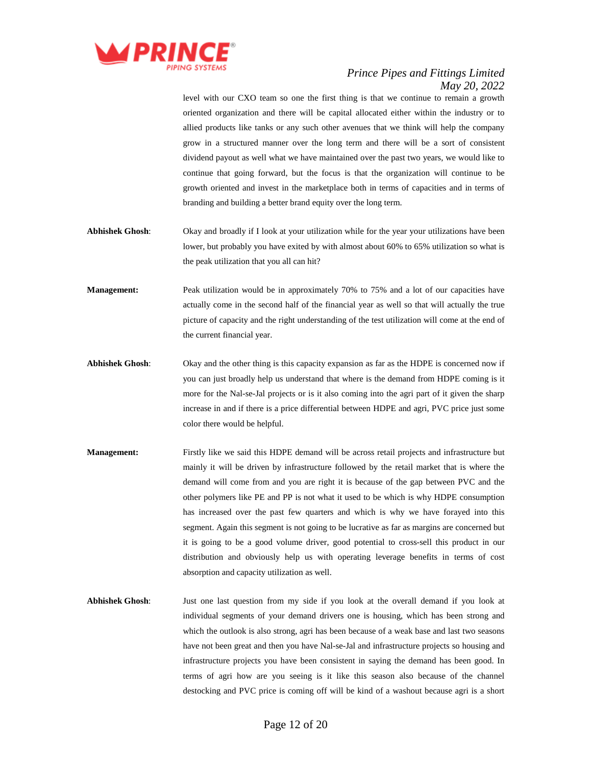

level with our CXO team so one the first thing is that we continue to remain a growth oriented organization and there will be capital allocated either within the industry or to allied products like tanks or any such other avenues that we think will help the company grow in a structured manner over the long term and there will be a sort of consistent dividend payout as well what we have maintained over the past two years, we would like to continue that going forward, but the focus is that the organization will continue to be growth oriented and invest in the marketplace both in terms of capacities and in terms of branding and building a better brand equity over the long term.

- **Abhishek Ghosh**: Okay and broadly if I look at your utilization while for the year your utilizations have been lower, but probably you have exited by with almost about 60% to 65% utilization so what is the peak utilization that you all can hit?
- **Management:** Peak utilization would be in approximately 70% to 75% and a lot of our capacities have actually come in the second half of the financial year as well so that will actually the true picture of capacity and the right understanding of the test utilization will come at the end of the current financial year.
- **Abhishek Ghosh**: Okay and the other thing is this capacity expansion as far as the HDPE is concerned now if you can just broadly help us understand that where is the demand from HDPE coming is it more for the Nal-se-Jal projects or is it also coming into the agri part of it given the sharp increase in and if there is a price differential between HDPE and agri, PVC price just some color there would be helpful.
- **Management:** Firstly like we said this HDPE demand will be across retail projects and infrastructure but mainly it will be driven by infrastructure followed by the retail market that is where the demand will come from and you are right it is because of the gap between PVC and the other polymers like PE and PP is not what it used to be which is why HDPE consumption has increased over the past few quarters and which is why we have forayed into this segment. Again this segment is not going to be lucrative as far as margins are concerned but it is going to be a good volume driver, good potential to cross-sell this product in our distribution and obviously help us with operating leverage benefits in terms of cost absorption and capacity utilization as well.
- **Abhishek Ghosh**: Just one last question from my side if you look at the overall demand if you look at individual segments of your demand drivers one is housing, which has been strong and which the outlook is also strong, agri has been because of a weak base and last two seasons have not been great and then you have Nal-se-Jal and infrastructure projects so housing and infrastructure projects you have been consistent in saying the demand has been good. In terms of agri how are you seeing is it like this season also because of the channel destocking and PVC price is coming off will be kind of a washout because agri is a short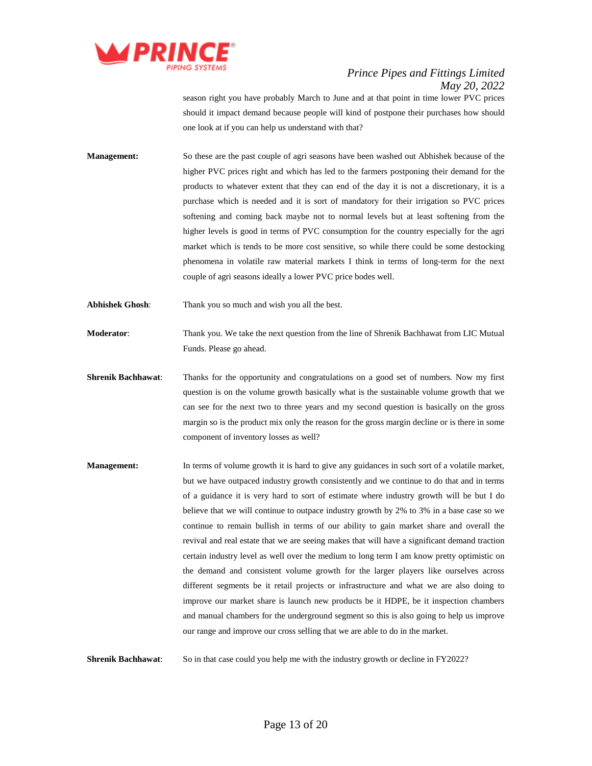

season right you have probably March to June and at that point in time lower PVC prices should it impact demand because people will kind of postpone their purchases how should one look at if you can help us understand with that?

- **Management:** So these are the past couple of agri seasons have been washed out Abhishek because of the higher PVC prices right and which has led to the farmers postponing their demand for the products to whatever extent that they can end of the day it is not a discretionary, it is a purchase which is needed and it is sort of mandatory for their irrigation so PVC prices softening and coming back maybe not to normal levels but at least softening from the higher levels is good in terms of PVC consumption for the country especially for the agri market which is tends to be more cost sensitive, so while there could be some destocking phenomena in volatile raw material markets I think in terms of long-term for the next couple of agri seasons ideally a lower PVC price bodes well.
- **Abhishek Ghosh**: Thank you so much and wish you all the best.

**Moderator**: Thank you. We take the next question from the line of Shrenik Bachhawat from LIC Mutual Funds. Please go ahead.

- **Shrenik Bachhawat**: Thanks for the opportunity and congratulations on a good set of numbers. Now my first question is on the volume growth basically what is the sustainable volume growth that we can see for the next two to three years and my second question is basically on the gross margin so is the product mix only the reason for the gross margin decline or is there in some component of inventory losses as well?
- **Management:** In terms of volume growth it is hard to give any guidances in such sort of a volatile market, but we have outpaced industry growth consistently and we continue to do that and in terms of a guidance it is very hard to sort of estimate where industry growth will be but I do believe that we will continue to outpace industry growth by 2% to 3% in a base case so we continue to remain bullish in terms of our ability to gain market share and overall the revival and real estate that we are seeing makes that will have a significant demand traction certain industry level as well over the medium to long term I am know pretty optimistic on the demand and consistent volume growth for the larger players like ourselves across different segments be it retail projects or infrastructure and what we are also doing to improve our market share is launch new products be it HDPE, be it inspection chambers and manual chambers for the underground segment so this is also going to help us improve our range and improve our cross selling that we are able to do in the market.

**Shrenik Bachhawat:** So in that case could you help me with the industry growth or decline in FY2022?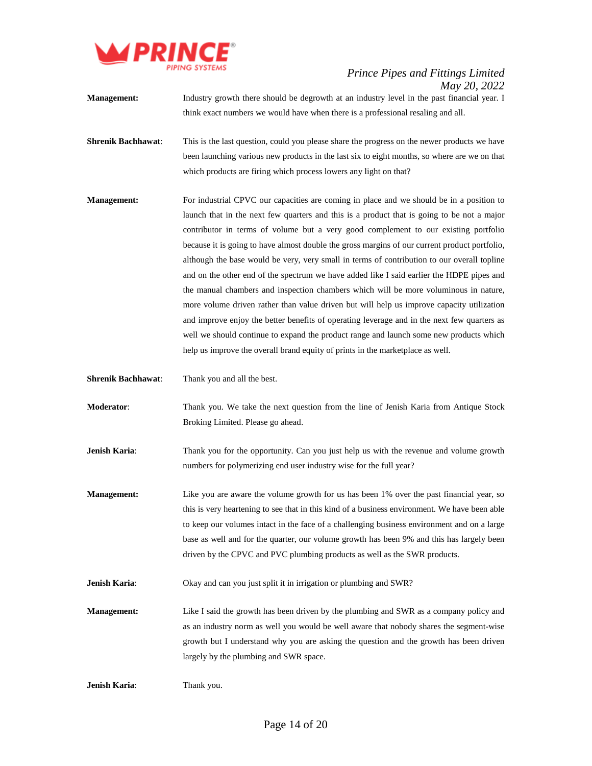

- **Management:** Industry growth there should be degrowth at an industry level in the past financial year. I think exact numbers we would have when there is a professional resaling and all.
- **Shrenik Bachhawat:** This is the last question, could you please share the progress on the newer products we have been launching various new products in the last six to eight months, so where are we on that which products are firing which process lowers any light on that?
- **Management:** For industrial CPVC our capacities are coming in place and we should be in a position to launch that in the next few quarters and this is a product that is going to be not a major contributor in terms of volume but a very good complement to our existing portfolio because it is going to have almost double the gross margins of our current product portfolio, although the base would be very, very small in terms of contribution to our overall topline and on the other end of the spectrum we have added like I said earlier the HDPE pipes and the manual chambers and inspection chambers which will be more voluminous in nature, more volume driven rather than value driven but will help us improve capacity utilization and improve enjoy the better benefits of operating leverage and in the next few quarters as well we should continue to expand the product range and launch some new products which help us improve the overall brand equity of prints in the marketplace as well.
- **Shrenik Bachhawat**: Thank you and all the best.
- **Moderator**: Thank you. We take the next question from the line of Jenish Karia from Antique Stock Broking Limited. Please go ahead.
- **Jenish Karia:** Thank you for the opportunity. Can you just help us with the revenue and volume growth numbers for polymerizing end user industry wise for the full year?
- **Management:** Like you are aware the volume growth for us has been 1% over the past financial year, so this is very heartening to see that in this kind of a business environment. We have been able to keep our volumes intact in the face of a challenging business environment and on a large base as well and for the quarter, our volume growth has been 9% and this has largely been driven by the CPVC and PVC plumbing products as well as the SWR products.

**Jenish Karia:** Okay and can you just split it in irrigation or plumbing and SWR?

**Management:** Like I said the growth has been driven by the plumbing and SWR as a company policy and as an industry norm as well you would be well aware that nobody shares the segment-wise growth but I understand why you are asking the question and the growth has been driven largely by the plumbing and SWR space.

**Jenish Karia:** Thank you.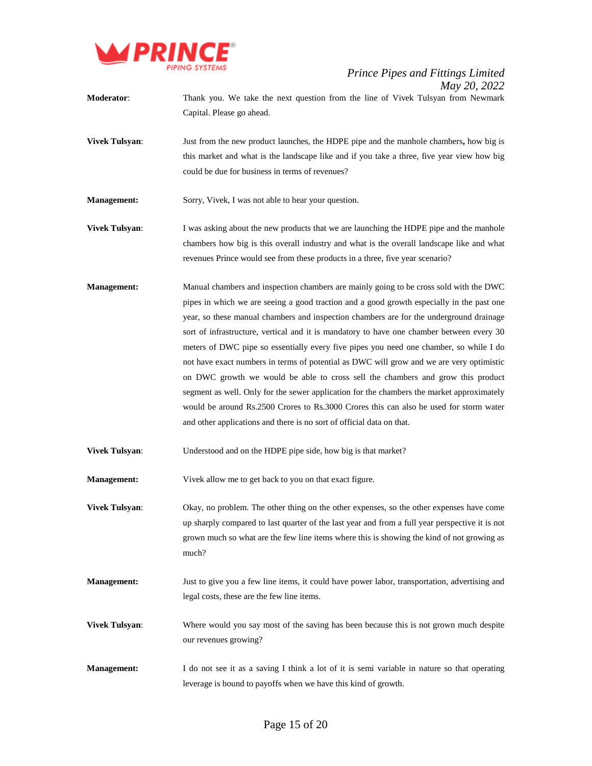

- **Moderator**: Thank you. We take the next question from the line of Vivek Tulsyan from Newmark Capital. Please go ahead.
- **Vivek Tulsyan:** Just from the new product launches, the HDPE pipe and the manhole chambers, how big is this market and what is the landscape like and if you take a three, five year view how big could be due for business in terms of revenues?

**Management:** Sorry, Vivek, I was not able to hear your question.

- **Vivek Tulsyan:** I was asking about the new products that we are launching the HDPE pipe and the manhole chambers how big is this overall industry and what is the overall landscape like and what revenues Prince would see from these products in a three, five year scenario?
- **Management:** Manual chambers and inspection chambers are mainly going to be cross sold with the DWC pipes in which we are seeing a good traction and a good growth especially in the past one year, so these manual chambers and inspection chambers are for the underground drainage sort of infrastructure, vertical and it is mandatory to have one chamber between every 30 meters of DWC pipe so essentially every five pipes you need one chamber, so while I do not have exact numbers in terms of potential as DWC will grow and we are very optimistic on DWC growth we would be able to cross sell the chambers and grow this product segment as well. Only for the sewer application for the chambers the market approximately would be around Rs.2500 Crores to Rs.3000 Crores this can also be used for storm water and other applications and there is no sort of official data on that.

**Vivek Tulsyan:** Understood and on the HDPE pipe side, how big is that market?

**Management:** Vivek allow me to get back to you on that exact figure.

**Vivek Tulsyan:** Okay, no problem. The other thing on the other expenses, so the other expenses have come up sharply compared to last quarter of the last year and from a full year perspective it is not grown much so what are the few line items where this is showing the kind of not growing as much?

- **Management:** Just to give you a few line items, it could have power labor, transportation, advertising and legal costs, these are the few line items.
- **Vivek Tulsyan:** Where would you say most of the saving has been because this is not grown much despite our revenues growing?
- **Management:** I do not see it as a saving I think a lot of it is semi variable in nature so that operating leverage is bound to payoffs when we have this kind of growth.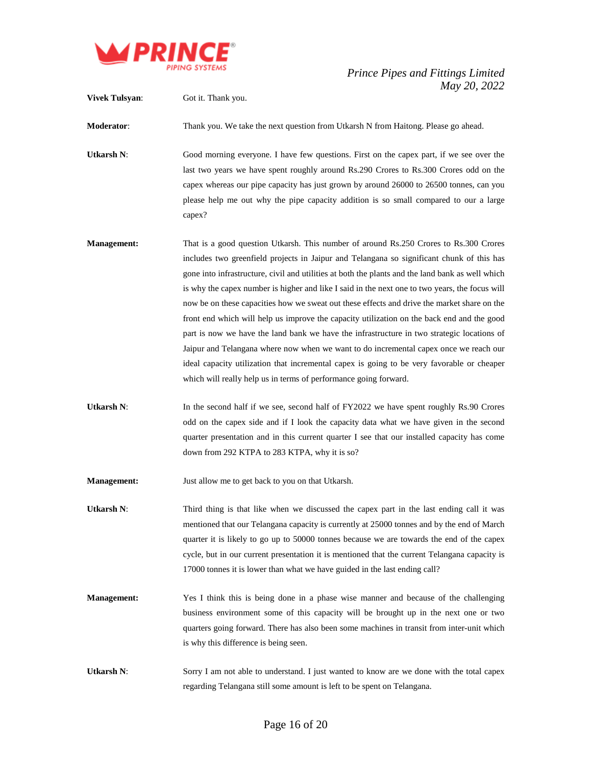

**Vivek Tulsyan:** Got it. Thank you. **Moderator**: Thank you. We take the next question from Utkarsh N from Haitong. Please go ahead. Utkarsh N: Good morning everyone. I have few questions. First on the capex part, if we see over the last two years we have spent roughly around Rs.290 Crores to Rs.300 Crores odd on the capex whereas our pipe capacity has just grown by around 26000 to 26500 tonnes, can you please help me out why the pipe capacity addition is so small compared to our a large capex? **Management:** That is a good question Utkarsh. This number of around Rs.250 Crores to Rs.300 Crores includes two greenfield projects in Jaipur and Telangana so significant chunk of this has gone into infrastructure, civil and utilities at both the plants and the land bank as well which is why the capex number is higher and like I said in the next one to two years, the focus will now be on these capacities how we sweat out these effects and drive the market share on the front end which will help us improve the capacity utilization on the back end and the good part is now we have the land bank we have the infrastructure in two strategic locations of Jaipur and Telangana where now when we want to do incremental capex once we reach our ideal capacity utilization that incremental capex is going to be very favorable or cheaper which will really help us in terms of performance going forward. Utkarsh N: In the second half if we see, second half of FY2022 we have spent roughly Rs.90 Crores odd on the capex side and if I look the capacity data what we have given in the second quarter presentation and in this current quarter I see that our installed capacity has come down from 292 KTPA to 283 KTPA, why it is so? **Management:** Just allow me to get back to you on that Utkarsh. Utkarsh N: Third thing is that like when we discussed the capex part in the last ending call it was mentioned that our Telangana capacity is currently at 25000 tonnes and by the end of March quarter it is likely to go up to 50000 tonnes because we are towards the end of the capex cycle, but in our current presentation it is mentioned that the current Telangana capacity is 17000 tonnes it is lower than what we have guided in the last ending call? **Management:** Yes I think this is being done in a phase wise manner and because of the challenging business environment some of this capacity will be brought up in the next one or two quarters going forward. There has also been some machines in transit from inter-unit which is why this difference is being seen. **Utkarsh N:** Sorry I am not able to understand. I just wanted to know are we done with the total capex regarding Telangana still some amount is left to be spent on Telangana.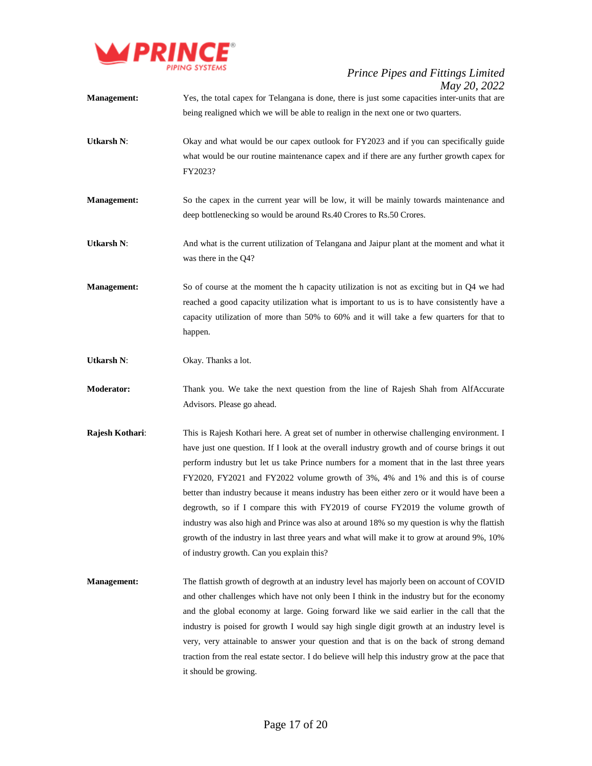

| <b>Management:</b> | $110 \times 20, 2022$<br>Yes, the total capex for Telangana is done, there is just some capacities inter-units that are<br>being realigned which we will be able to realign in the next one or two quarters.                                                                                                                                                                                                                                                                                                                                                                                                                                                                                                                                                                                           |
|--------------------|--------------------------------------------------------------------------------------------------------------------------------------------------------------------------------------------------------------------------------------------------------------------------------------------------------------------------------------------------------------------------------------------------------------------------------------------------------------------------------------------------------------------------------------------------------------------------------------------------------------------------------------------------------------------------------------------------------------------------------------------------------------------------------------------------------|
| <b>Utkarsh N:</b>  | Okay and what would be our capex outlook for FY2023 and if you can specifically guide<br>what would be our routine maintenance capex and if there are any further growth capex for<br>FY2023?                                                                                                                                                                                                                                                                                                                                                                                                                                                                                                                                                                                                          |
| Management:        | So the capex in the current year will be low, it will be mainly towards maintenance and<br>deep bottlenecking so would be around Rs.40 Crores to Rs.50 Crores.                                                                                                                                                                                                                                                                                                                                                                                                                                                                                                                                                                                                                                         |
| <b>Utkarsh N:</b>  | And what is the current utilization of Telangana and Jaipur plant at the moment and what it<br>was there in the Q4?                                                                                                                                                                                                                                                                                                                                                                                                                                                                                                                                                                                                                                                                                    |
| <b>Management:</b> | So of course at the moment the h capacity utilization is not as exciting but in Q4 we had<br>reached a good capacity utilization what is important to us is to have consistently have a<br>capacity utilization of more than 50% to 60% and it will take a few quarters for that to<br>happen.                                                                                                                                                                                                                                                                                                                                                                                                                                                                                                         |
| <b>Utkarsh N:</b>  | Okay. Thanks a lot.                                                                                                                                                                                                                                                                                                                                                                                                                                                                                                                                                                                                                                                                                                                                                                                    |
| <b>Moderator:</b>  | Thank you. We take the next question from the line of Rajesh Shah from AlfAccurate<br>Advisors. Please go ahead.                                                                                                                                                                                                                                                                                                                                                                                                                                                                                                                                                                                                                                                                                       |
| Rajesh Kothari:    | This is Rajesh Kothari here. A great set of number in otherwise challenging environment. I<br>have just one question. If I look at the overall industry growth and of course brings it out<br>perform industry but let us take Prince numbers for a moment that in the last three years<br>FY2020, FY2021 and FY2022 volume growth of 3%, 4% and 1% and this is of course<br>better than industry because it means industry has been either zero or it would have been a<br>degrowth, so if I compare this with FY2019 of course FY2019 the volume growth of<br>industry was also high and Prince was also at around 18% so my question is why the flattish<br>growth of the industry in last three years and what will make it to grow at around 9%, 10%<br>of industry growth. Can you explain this? |
| <b>Management:</b> | The flattish growth of degrowth at an industry level has majorly been on account of COVID<br>and other challenges which have not only been I think in the industry but for the economy<br>and the global economy at large. Going forward like we said earlier in the call that the<br>industry is poised for growth I would say high single digit growth at an industry level is<br>very, very attainable to answer your question and that is on the back of strong demand<br>traction from the real estate sector. I do believe will help this industry grow at the pace that<br>it should be growing.                                                                                                                                                                                                |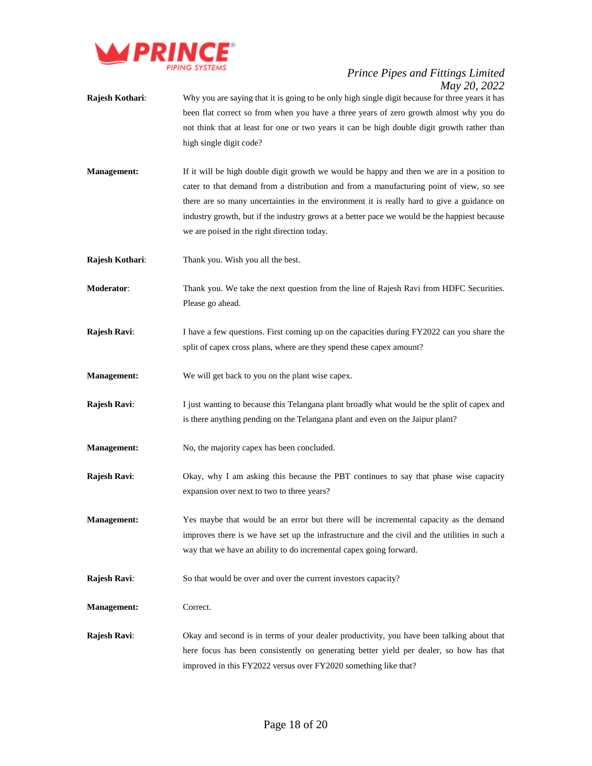

- **Rajesh Kothari:** Why you are saying that it is going to be only high single digit because for three years it has been flat correct so from when you have a three years of zero growth almost why you do not think that at least for one or two years it can be high double digit growth rather than high single digit code?
- **Management:** If it will be high double digit growth we would be happy and then we are in a position to cater to that demand from a distribution and from a manufacturing point of view, so see there are so many uncertainties in the environment it is really hard to give a guidance on industry growth, but if the industry grows at a better pace we would be the happiest because we are poised in the right direction today.
- **Rajesh Kothari**: Thank you. Wish you all the best.
- **Moderator:** Thank you. We take the next question from the line of Rajesh Ravi from HDFC Securities. Please go ahead.
- **Rajesh Ravi:** I have a few questions. First coming up on the capacities during FY2022 can you share the split of capex cross plans, where are they spend these capex amount?
- **Management:** We will get back to you on the plant wise capex.
- **Rajesh Ravi:** I just wanting to because this Telangana plant broadly what would be the split of capex and is there anything pending on the Telangana plant and even on the Jaipur plant?
- **Management:** No, the majority capex has been concluded.
- **Rajesh Ravi:** Okay, why I am asking this because the PBT continues to say that phase wise capacity expansion over next to two to three years?
- **Management:** Yes maybe that would be an error but there will be incremental capacity as the demand improves there is we have set up the infrastructure and the civil and the utilities in such a way that we have an ability to do incremental capex going forward.
- **Rajesh Ravi:** So that would be over and over the current investors capacity?
- **Management:** Correct.
- **Rajesh Ravi:** Okay and second is in terms of your dealer productivity, you have been talking about that here focus has been consistently on generating better yield per dealer, so how has that improved in this FY2022 versus over FY2020 something like that?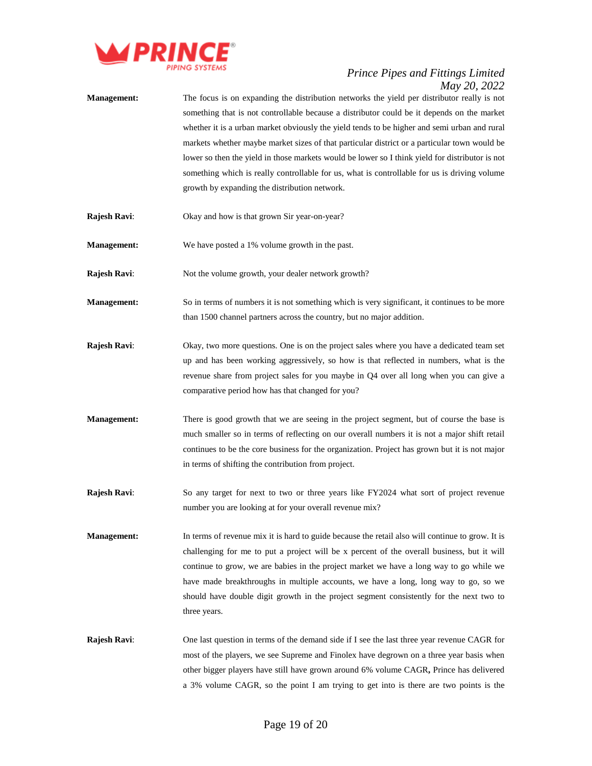

- **Management:** The focus is on expanding the distribution networks the yield per distributor really is not something that is not controllable because a distributor could be it depends on the market whether it is a urban market obviously the yield tends to be higher and semi urban and rural markets whether maybe market sizes of that particular district or a particular town would be lower so then the yield in those markets would be lower so I think yield for distributor is not something which is really controllable for us, what is controllable for us is driving volume growth by expanding the distribution network.
- **Rajesh Ravi**: Okay and how is that grown Sir year-on-year?
- **Management:** We have posted a 1% volume growth in the past.
- **Rajesh Ravi:** Not the volume growth, your dealer network growth?
- **Management:** So in terms of numbers it is not something which is very significant, it continues to be more than 1500 channel partners across the country, but no major addition.
- **Rajesh Ravi**: Okay, two more questions. One is on the project sales where you have a dedicated team set up and has been working aggressively, so how is that reflected in numbers, what is the revenue share from project sales for you maybe in Q4 over all long when you can give a comparative period how has that changed for you?
- **Management:** There is good growth that we are seeing in the project segment, but of course the base is much smaller so in terms of reflecting on our overall numbers it is not a major shift retail continues to be the core business for the organization. Project has grown but it is not major in terms of shifting the contribution from project.
- **Rajesh Ravi:** So any target for next to two or three years like FY2024 what sort of project revenue number you are looking at for your overall revenue mix?
- **Management:** In terms of revenue mix it is hard to guide because the retail also will continue to grow. It is challenging for me to put a project will be x percent of the overall business, but it will continue to grow, we are babies in the project market we have a long way to go while we have made breakthroughs in multiple accounts, we have a long, long way to go, so we should have double digit growth in the project segment consistently for the next two to three years.
- **Rajesh Ravi:** One last question in terms of the demand side if I see the last three year revenue CAGR for most of the players, we see Supreme and Finolex have degrown on a three year basis when other bigger players have still have grown around 6% volume CAGR**,** Prince has delivered a 3% volume CAGR, so the point I am trying to get into is there are two points is the